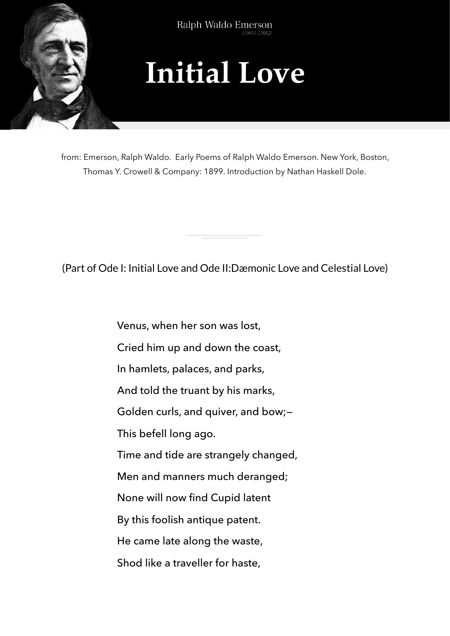

Ralph Waldo Emerson  $(1803 - 1882)$ 

## **Initial Love**

from: Emerson, Ralph Waldo. Early Poems of Ralph Waldo Emerson. New York, Boston, Thomas Y. Crowell & Company: 1899. Introduction by Nathan Haskell Dole.

(Part of Ode I: Initial Love and Ode II:Dæmonic Love and Celestial Love)

Venus, when her son was lost, Cried him up and down the coast, In hamlets, palaces, and parks, And told the truant by his marks, Golden curls, and quiver, and bow;— This befell long ago. Time and tide are strangely changed, Men and manners much deranged; None will now find Cupid latent By this foolish antique patent. He came late along the waste, Shod like a traveller for haste,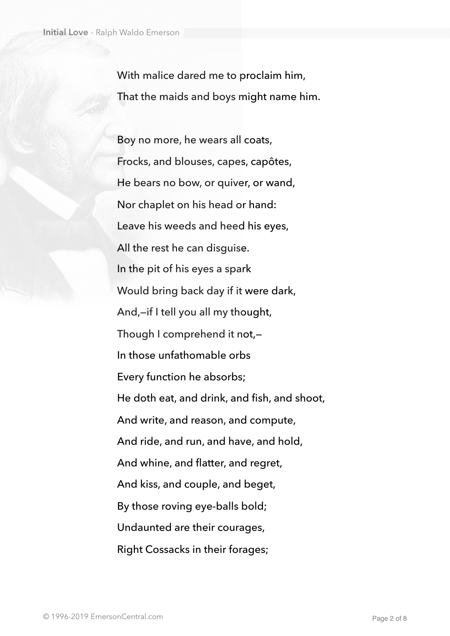With malice dared me to proclaim him, That the maids and boys might name him.

Boy no more, he wears all coats, Frocks, and blouses, capes, capôtes, He bears no bow, or quiver, or wand, Nor chaplet on his head or hand: Leave his weeds and heed his eyes, All the rest he can disguise. In the pit of his eyes a spark Would bring back day if it were dark, And,—if I tell you all my thought, Though I comprehend it not,— In those unfathomable orbs Every function he absorbs; He doth eat, and drink, and fish, and shoot, And write, and reason, and compute, And ride, and run, and have, and hold, And whine, and flatter, and regret, And kiss, and couple, and beget, By those roving eye-balls bold; Undaunted are their courages, Right Cossacks in their forages;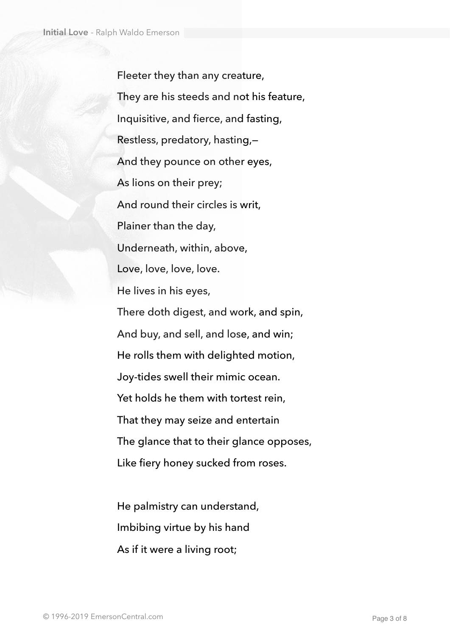Fleeter they than any creature, They are his steeds and not his feature, Inquisitive, and fierce, and fasting, Restless, predatory, hasting,— And they pounce on other eyes, As lions on their prey; And round their circles is writ, Plainer than the day, Underneath, within, above, Love, love, love, love. He lives in his eyes, There doth digest, and work, and spin, And buy, and sell, and lose, and win; He rolls them with delighted motion, Joy-tides swell their mimic ocean. Yet holds he them with tortest rein, That they may seize and entertain The glance that to their glance opposes, Like fiery honey sucked from roses.

He palmistry can understand, Imbibing virtue by his hand As if it were a living root;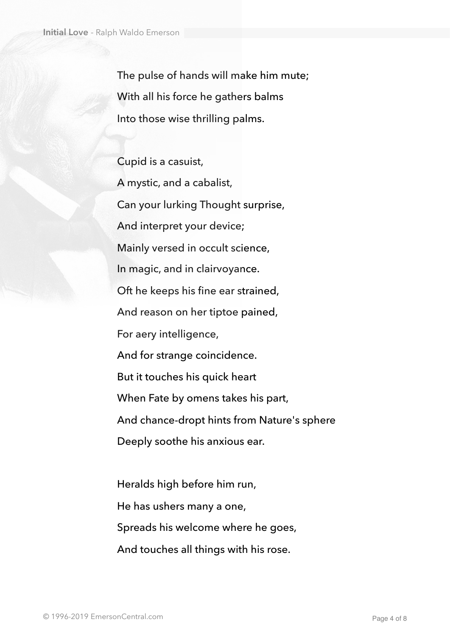The pulse of hands will make him mute; With all his force he gathers balms Into those wise thrilling palms.

Cupid is a casuist, A mystic, and a cabalist, Can your lurking Thought surprise, And interpret your device; Mainly versed in occult science, In magic, and in clairvoyance. Oft he keeps his fine ear strained, And reason on her tiptoe pained, For aery intelligence, And for strange coincidence. But it touches his quick heart When Fate by omens takes his part, And chance-dropt hints from Nature's sphere Deeply soothe his anxious ear.

Heralds high before him run, He has ushers many a one, Spreads his welcome where he goes, And touches all things with his rose.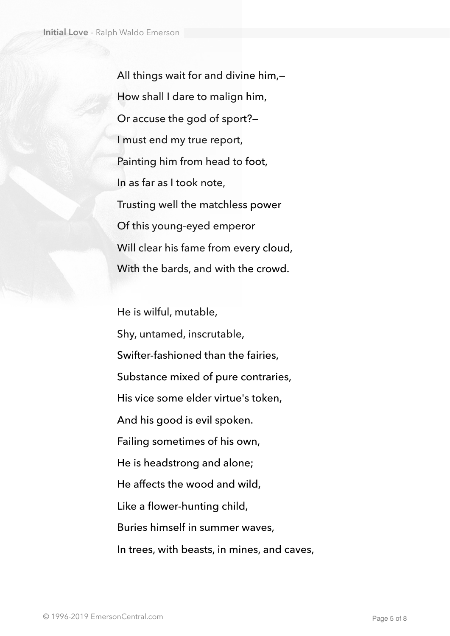All things wait for and divine him,— How shall I dare to malign him, Or accuse the god of sport?— I must end my true report, Painting him from head to foot, In as far as I took note, Trusting well the matchless power Of this young-eyed emperor Will clear his fame from every cloud, With the bards, and with the crowd.

He is wilful, mutable, Shy, untamed, inscrutable, Swifter-fashioned than the fairies, Substance mixed of pure contraries, His vice some elder virtue's token, And his good is evil spoken. Failing sometimes of his own, He is headstrong and alone; He affects the wood and wild, Like a flower-hunting child, Buries himself in summer waves, In trees, with beasts, in mines, and caves,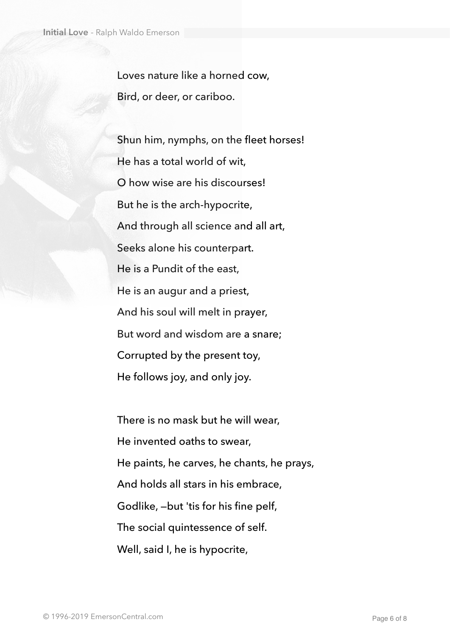Loves nature like a horned cow, Bird, or deer, or cariboo.

Shun him, nymphs, on the fleet horses! He has a total world of wit, O how wise are his discourses! But he is the arch-hypocrite, And through all science and all art, Seeks alone his counterpart. He is a Pundit of the east, He is an augur and a priest, And his soul will melt in prayer, But word and wisdom are a snare; Corrupted by the present toy, He follows joy, and only joy.

There is no mask but he will wear, He invented oaths to swear, He paints, he carves, he chants, he prays, And holds all stars in his embrace, Godlike, —but 'tis for his fine pelf, The social quintessence of self. Well, said I, he is hypocrite,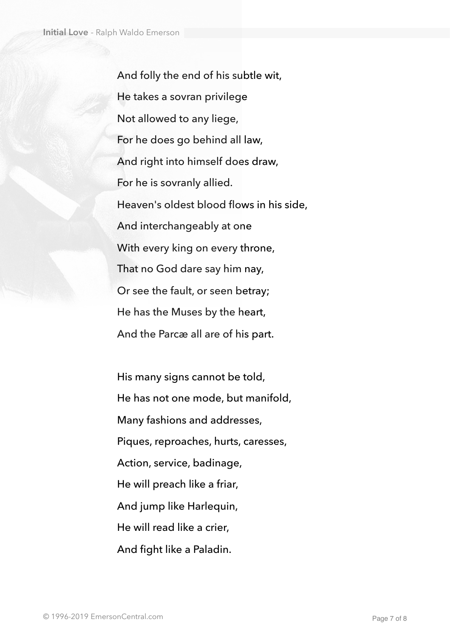And folly the end of his subtle wit, He takes a sovran privilege Not allowed to any liege, For he does go behind all law, And right into himself does draw, For he is sovranly allied. Heaven's oldest blood flows in his side, And interchangeably at one With every king on every throne, That no God dare say him nay, Or see the fault, or seen betray; He has the Muses by the heart, And the Parcæ all are of his part.

His many signs cannot be told, He has not one mode, but manifold, Many fashions and addresses, Piques, reproaches, hurts, caresses, Action, service, badinage, He will preach like a friar, And jump like Harlequin, He will read like a crier, And fight like a Paladin.